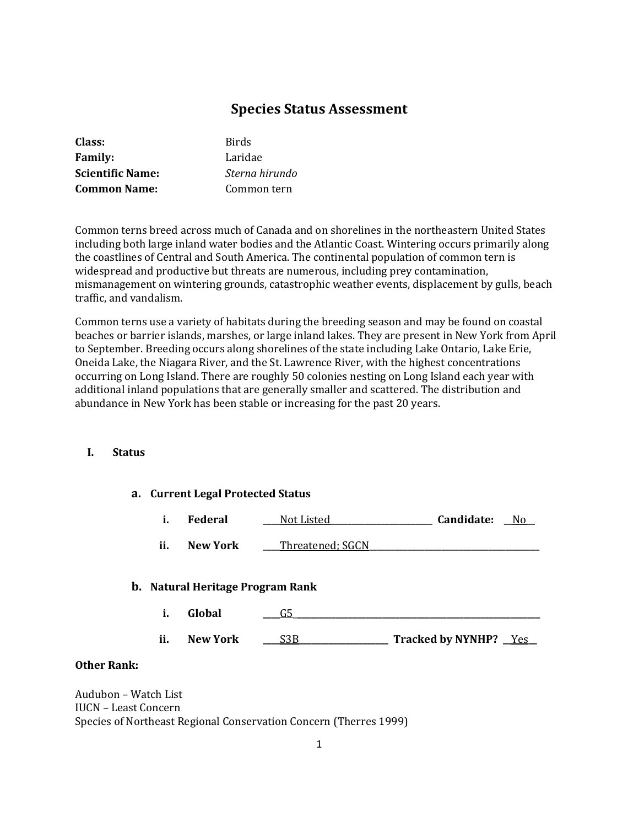# **Species Status Assessment**

| Class:                  | Birds          |
|-------------------------|----------------|
| <b>Family:</b>          | Laridae        |
| <b>Scientific Name:</b> | Sterna hirundo |
| <b>Common Name:</b>     | Common tern    |

Common terns breed across much of Canada and on shorelines in the northeastern United States including both large inland water bodies and the Atlantic Coast. Wintering occurs primarily along the coastlines of Central and South America. The continental population of common tern is widespread and productive but threats are numerous, including prey contamination, mismanagement on wintering grounds, catastrophic weather events, displacement by gulls, beach traffic, and vandalism.

Common terns use a variety of habitats during the breeding season and may be found on coastal beaches or barrier islands, marshes, or large inland lakes. They are present in New York from April to September. Breeding occurs along shorelines of the state including Lake Ontario, Lake Erie, Oneida Lake, the Niagara River, and the St. Lawrence River, with the highest concentrations occurring on Long Island. There are roughly 50 colonies nesting on Long Island each year with additional inland populations that are generally smaller and scattered. The distribution and abundance in New York has been stable or increasing for the past 20 years.

#### **I. Status**

|                | a. Current Legal Protected Status |                 |                                  |                       |  |
|----------------|-----------------------------------|-----------------|----------------------------------|-----------------------|--|
|                | i.                                | <b>Federal</b>  | Not Listed                       | Candidate:<br>No.     |  |
|                | ii.                               | <b>New York</b> | Threatened; SGCN                 |                       |  |
|                |                                   |                 | b. Natural Heritage Program Rank |                       |  |
|                | i.                                | Global          | G5                               |                       |  |
|                | ii.                               | <b>New York</b> | S3B                              | Tracked by NYNHP? Yes |  |
| $\blacksquare$ |                                   |                 |                                  |                       |  |

# **Other Rank:**

Audubon – Watch List IUCN – Least Concern Species of Northeast Regional Conservation Concern (Therres 1999)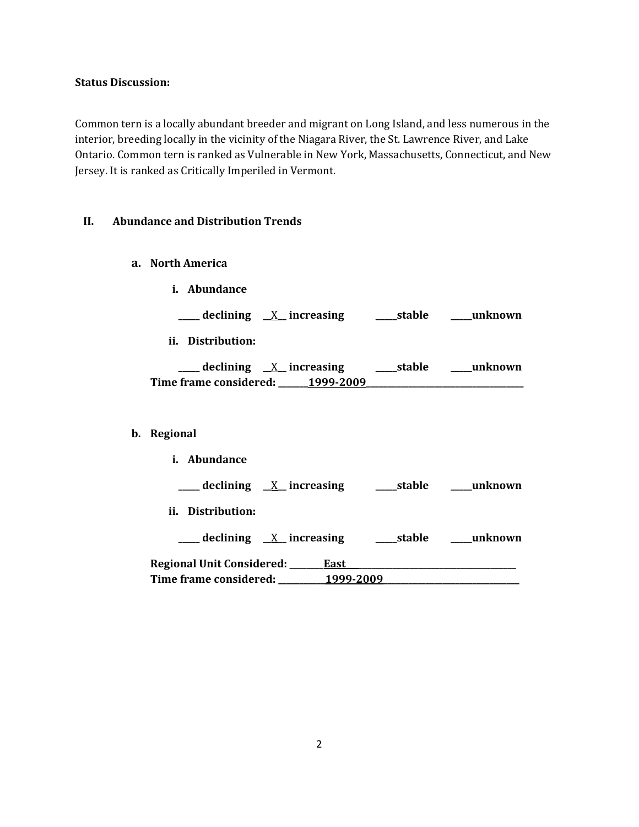### **Status Discussion:**

Common tern is a locally abundant breeder and migrant on Long Island, and less numerous in the interior, breeding locally in the vicinity of the Niagara River, the St. Lawrence River, and Lake Ontario. Common tern is ranked as Vulnerable in New York, Massachusetts, Connecticut, and New Jersey. It is ranked as Critically Imperiled in Vermont.

## **II. Abundance and Distribution Trends**

**a. North America**

**b**.

| i. Abundance                                                                                   |        |         |
|------------------------------------------------------------------------------------------------|--------|---------|
| ___ declining <u>X</u> increasing ____ stable ____ unknown                                     |        |         |
| ii. Distribution:                                                                              |        |         |
| ___ declining <u>X</u> increasing ____ stable ____ unknown<br>Time frame considered: 1999-2009 |        |         |
|                                                                                                |        |         |
| Regional                                                                                       |        |         |
| i. Abundance                                                                                   |        |         |
|                                                                                                |        |         |
| ii. Distribution:                                                                              |        |         |
| $\equiv$ declining $X$ increasing                                                              | stable | unknown |

**Regional Unit Considered: \_\_\_\_\_\_\_\_East\_\_\_\_\_\_\_\_\_\_\_\_\_\_\_\_\_\_\_\_\_\_\_\_\_\_\_\_\_\_\_\_\_\_\_\_\_\_\_\_ Time frame considered: \_\_\_\_\_\_\_\_\_\_\_1999-2009\_\_\_\_\_\_\_\_\_\_\_\_\_\_\_\_\_\_\_\_\_\_\_\_\_\_\_\_\_\_\_\_**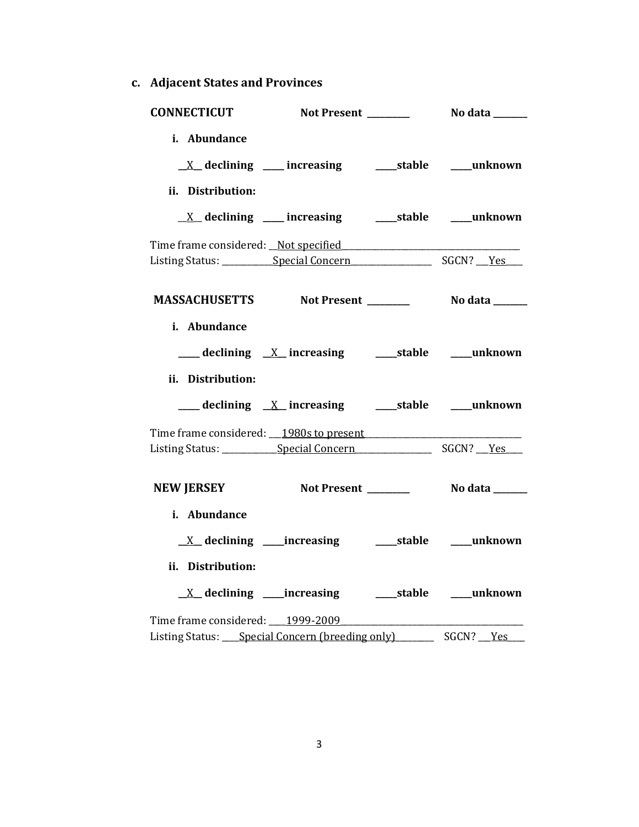**c. Adjacent States and Provinces**

| <b>CONNECTICUT</b>                                                                                             |                                                                    |              |
|----------------------------------------------------------------------------------------------------------------|--------------------------------------------------------------------|--------------|
| i. Abundance                                                                                                   |                                                                    |              |
|                                                                                                                | <u>X</u> declining ___ increasing ____ stable ___ unknown          |              |
| ii. Distribution:                                                                                              |                                                                    |              |
|                                                                                                                | $\underline{X}$ declining ___ increasing ______stable _____unknown |              |
| Time frame considered: Not specified Times and the constant of the series of the series of the series of the s |                                                                    |              |
|                                                                                                                |                                                                    |              |
|                                                                                                                | MASSACHUSETTS Not Present _________ No data ______                 |              |
| i. Abundance                                                                                                   |                                                                    |              |
|                                                                                                                | ___ declining <u>X</u> increasing ___ stable ___ unknown           |              |
| ii. Distribution:                                                                                              |                                                                    |              |
|                                                                                                                | ___ declining <u>X</u> increasing ____ stable ____ unknown         |              |
|                                                                                                                |                                                                    |              |
|                                                                                                                |                                                                    |              |
|                                                                                                                | NEW JERSEY Not Present _________ No data ______                    |              |
| i. Abundance                                                                                                   |                                                                    |              |
|                                                                                                                |                                                                    |              |
|                                                                                                                |                                                                    |              |
| ii. Distribution:                                                                                              |                                                                    |              |
|                                                                                                                | <u>X</u> declining ____increasing _______stable ____unknown        |              |
| Time frame considered: 1999-2009                                                                               |                                                                    |              |
| Listing Status: Special Concern (breeding only)                                                                |                                                                    | SGCN? __ Yes |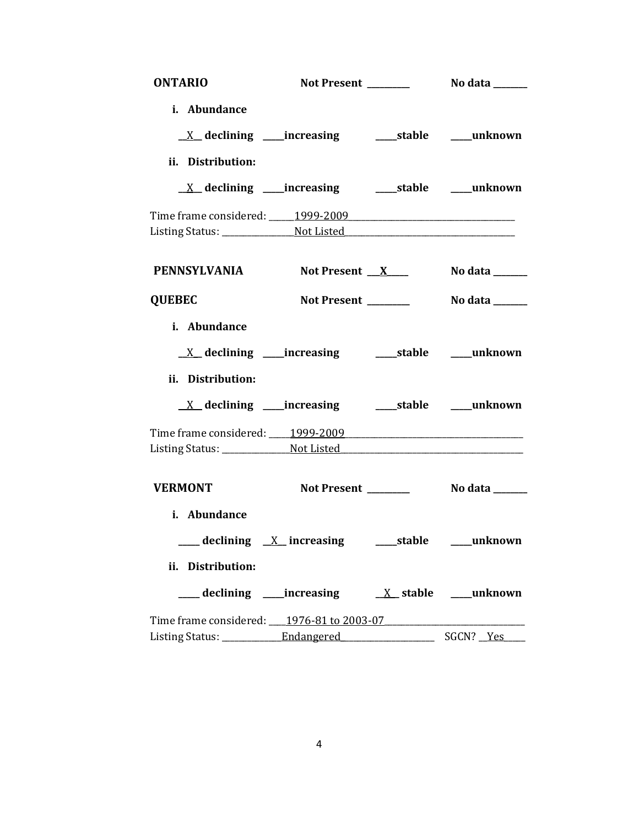| <b>ONTARIO</b>                            |                                                              |                |
|-------------------------------------------|--------------------------------------------------------------|----------------|
| i. Abundance                              |                                                              |                |
|                                           |                                                              |                |
| ii. Distribution:                         |                                                              |                |
|                                           | <u>X</u> declining ____increasing ______stable ____unknown   |                |
| Time frame considered: 1999-2009          |                                                              |                |
|                                           |                                                              |                |
| PENNSYLVANIA Not Present X                |                                                              | No data $\_\_$ |
| <b>QUEBEC</b>                             |                                                              |                |
| i. Abundance                              |                                                              |                |
|                                           |                                                              |                |
| ii. Distribution:                         |                                                              |                |
|                                           |                                                              |                |
|                                           |                                                              |                |
|                                           |                                                              |                |
| <b>VERMONT</b>                            |                                                              |                |
| i. Abundance                              |                                                              |                |
|                                           | ____ declining __X__ increasing ________stable ______unknown |                |
| ii. Distribution:                         |                                                              |                |
|                                           |                                                              |                |
| Time frame considered: 1976-81 to 2003-07 |                                                              |                |
|                                           |                                                              |                |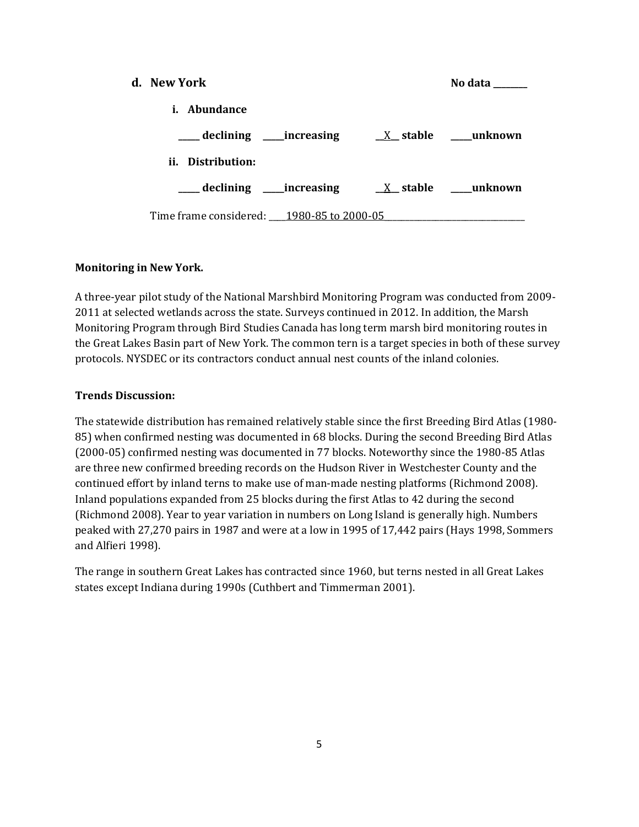| d. New York                               |  | No data            |
|-------------------------------------------|--|--------------------|
| <i>i.</i> Abundance                       |  |                    |
| ____ declining _____increasing            |  | $X$ stable unknown |
| ii. Distribution:                         |  |                    |
| ____ declining _____ increasing           |  | $X$ stable unknown |
| Time frame considered: 1980-85 to 2000-05 |  |                    |

## **Monitoring in New York.**

A three-year pilot study of the National Marshbird Monitoring Program was conducted from 2009- 2011 at selected wetlands across the state. Surveys continued in 2012. In addition, the Marsh Monitoring Program through Bird Studies Canada has long term marsh bird monitoring routes in the Great Lakes Basin part of New York. The common tern is a target species in both of these survey protocols. NYSDEC or its contractors conduct annual nest counts of the inland colonies.

### **Trends Discussion:**

The statewide distribution has remained relatively stable since the first Breeding Bird Atlas (1980- 85) when confirmed nesting was documented in 68 blocks. During the second Breeding Bird Atlas (2000-05) confirmed nesting was documented in 77 blocks. Noteworthy since the 1980-85 Atlas are three new confirmed breeding records on the Hudson River in Westchester County and the continued effort by inland terns to make use of man-made nesting platforms (Richmond 2008). Inland populations expanded from 25 blocks during the first Atlas to 42 during the second (Richmond 2008). Year to year variation in numbers on Long Island is generally high. Numbers peaked with 27,270 pairs in 1987 and were at a low in 1995 of 17,442 pairs (Hays 1998, Sommers and Alfieri 1998).

The range in southern Great Lakes has contracted since 1960, but terns nested in all Great Lakes states except Indiana during 1990s (Cuthbert and Timmerman 2001).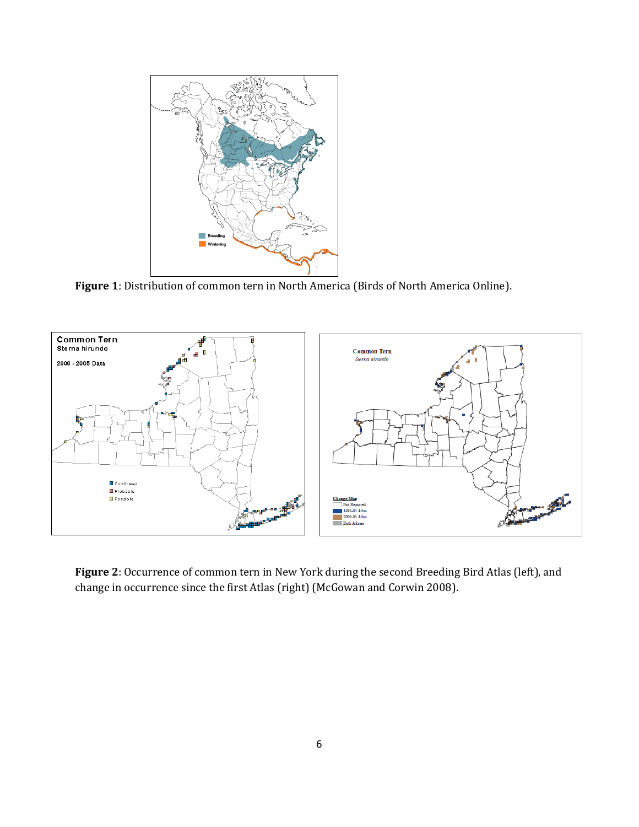

**Figure 1**: Distribution of common tern in North America (Birds of North America Online).



**Figure 2**: Occurrence of common tern in New York during the second Breeding Bird Atlas (left), and change in occurrence since the first Atlas (right) (McGowan and Corwin 2008).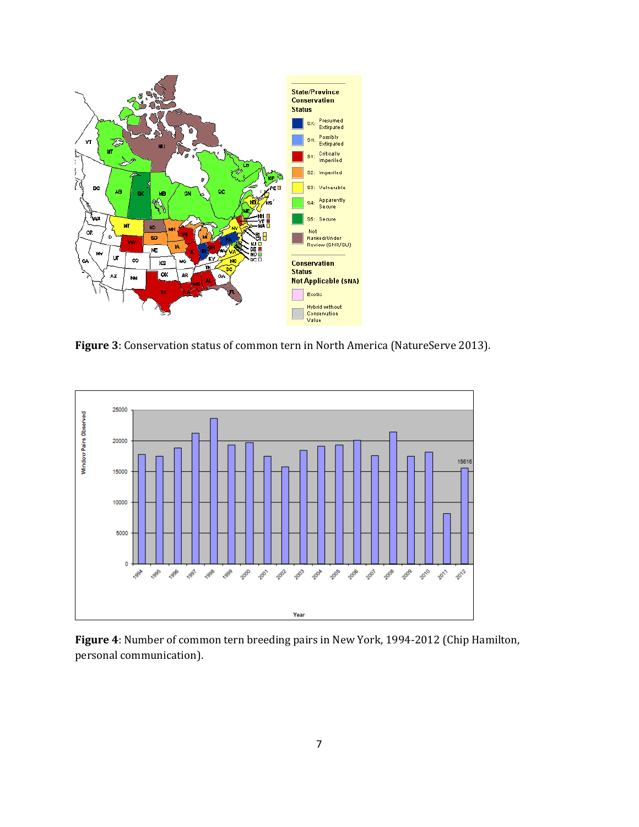

**Figure 3**: Conservation status of common tern in North America (NatureServe 2013).



**Figure 4**: Number of common tern breeding pairs in New York, 1994-2012 (Chip Hamilton, personal communication).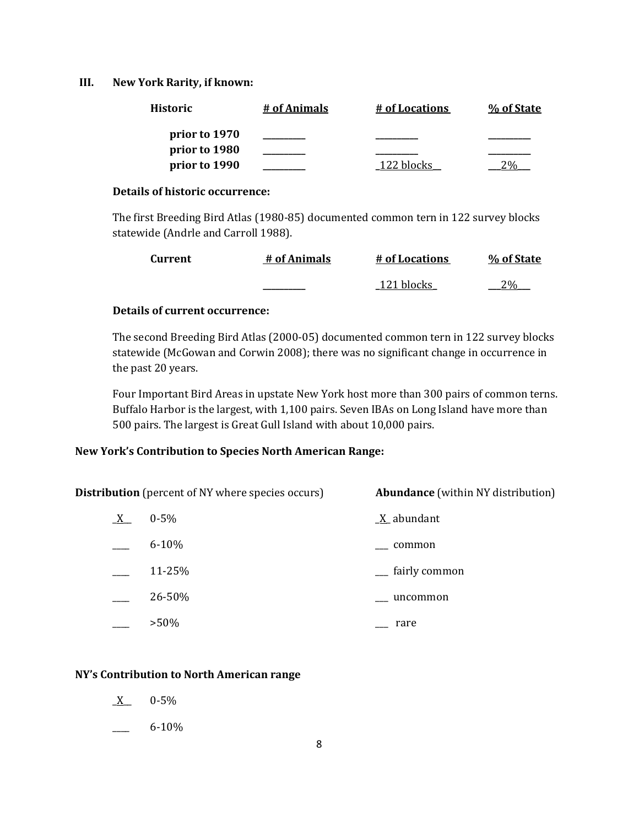## **III. New York Rarity, if known:**

| <b>Historic</b> | # of Animals | # of Locations | % of State |
|-----------------|--------------|----------------|------------|
| prior to 1970   |              |                |            |
| prior to 1980   |              |                |            |
| prior to 1990   |              | 122 blocks     |            |

### **Details of historic occurrence:**

The first Breeding Bird Atlas (1980-85) documented common tern in 122 survey blocks statewide (Andrle and Carroll 1988).

| <b>Current</b> | # of Animals | # of Locations | % of State |
|----------------|--------------|----------------|------------|
|                |              | 121 blocks     | $2\%$      |

## **Details of current occurrence:**

The second Breeding Bird Atlas (2000-05) documented common tern in 122 survey blocks statewide (McGowan and Corwin 2008); there was no significant change in occurrence in the past 20 years.

Four Important Bird Areas in upstate New York host more than 300 pairs of common terns. Buffalo Harbor is the largest, with 1,100 pairs. Seven IBAs on Long Island have more than 500 pairs. The largest is Great Gull Island with about 10,000 pairs.

# **New York's Contribution to Species North American Range:**

**Distribution** (percent of NY where species occurs) **Abundance** (within NY distribution)  $X = 0.5\%$   $X$  abundant

| $6 - 10%$ | common        |
|-----------|---------------|
| 11-25%    | fairly common |
| 26-50%    | uncommon      |
| $>50\%$   | rare          |

# **NY's Contribution to North American range**

- $X$  0-5%
- \_\_\_\_ 6-10%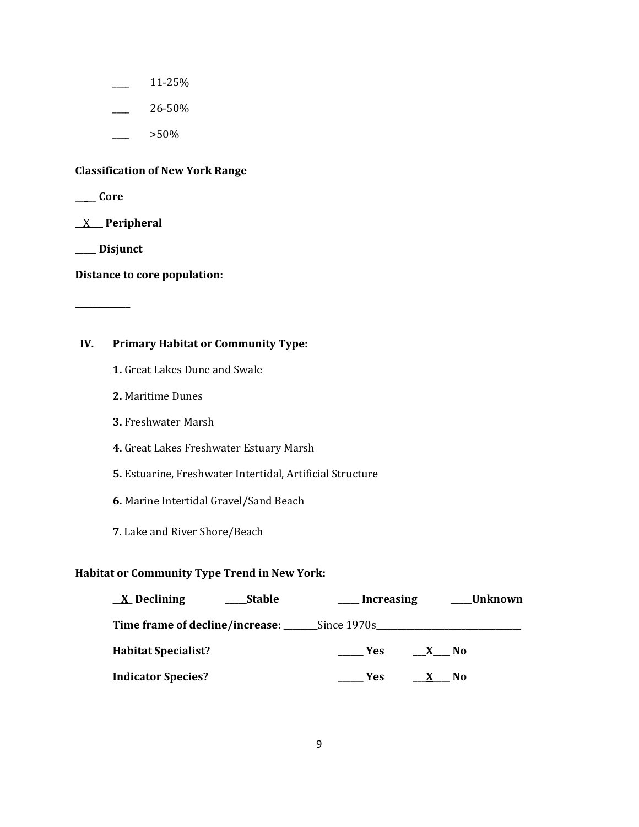- $\frac{11-25}{6}$
- $\frac{26-50\%}{26}$ 
	- $>50\%$

### **Classification of New York Range**

**\_\_\_\_\_ Core**

\_\_X\_\_\_ **Peripheral**

**\_\_\_\_\_ Disjunct**

**\_\_\_\_\_\_\_\_\_\_\_**

**Distance to core population:**

# **IV. Primary Habitat or Community Type:**

- **1.** Great Lakes Dune and Swale
- **2.** Maritime Dunes
- **3.** Freshwater Marsh
- **4.** Great Lakes Freshwater Estuary Marsh
- **5.** Estuarine, Freshwater Intertidal, Artificial Structure
- **6.** Marine Intertidal Gravel/Sand Beach
- **7**. Lake and River Shore/Beach

### **Habitat or Community Type Trend in New York:**

| $\underline{X}$ Declining          | <b>Stable</b> | <b>Increasing</b>  |              | <b>Unknown</b> |
|------------------------------------|---------------|--------------------|--------------|----------------|
| Time frame of decline/increase: __ |               | <u>Since 1970s</u> |              |                |
| <b>Habitat Specialist?</b>         |               | <b>Example SE</b>  | $\mathbf{X}$ | <b>No</b>      |
| <b>Indicator Species?</b>          |               | <b>Yes</b>         |              | N0             |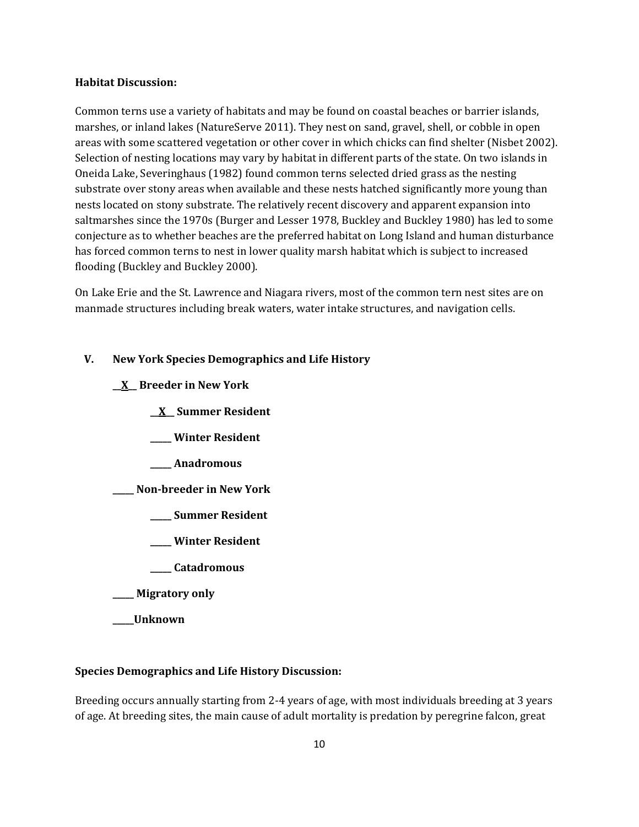#### **Habitat Discussion:**

Common terns use a variety of habitats and may be found on coastal beaches or barrier islands, marshes, or inland lakes (NatureServe 2011). They nest on sand, gravel, shell, or cobble in open areas with some scattered vegetation or other cover in which chicks can find shelter (Nisbet 2002). Selection of nesting locations may vary by habitat in different parts of the state. On two islands in Oneida Lake, Severinghaus (1982) found common terns selected dried grass as the nesting substrate over stony areas when available and these nests hatched significantly more young than nests located on stony substrate. The relatively recent discovery and apparent expansion into saltmarshes since the 1970s (Burger and Lesser 1978, Buckley and Buckley 1980) has led to some conjecture as to whether beaches are the preferred habitat on Long Island and human disturbance has forced common terns to nest in lower quality marsh habitat which is subject to increased flooding (Buckley and Buckley 2000).

On Lake Erie and the St. Lawrence and Niagara rivers, most of the common tern nest sites are on manmade structures including break waters, water intake structures, and navigation cells.

#### **V. New York Species Demographics and Life History**

- **\_\_X\_\_ Breeder in New York**
	- **\_\_X\_\_ Summer Resident**
	- **\_\_\_\_\_ Winter Resident**
	- **\_\_\_\_\_ Anadromous**

**\_\_\_\_\_ Non-breeder in New York**

- **\_\_\_\_\_ Summer Resident**
- **\_\_\_\_\_ Winter Resident**
- **\_\_\_\_\_ Catadromous**
- **\_\_\_\_\_ Migratory only**
- **\_\_\_\_\_Unknown**

#### **Species Demographics and Life History Discussion:**

Breeding occurs annually starting from 2-4 years of age, with most individuals breeding at 3 years of age. At breeding sites, the main cause of adult mortality is predation by peregrine falcon, great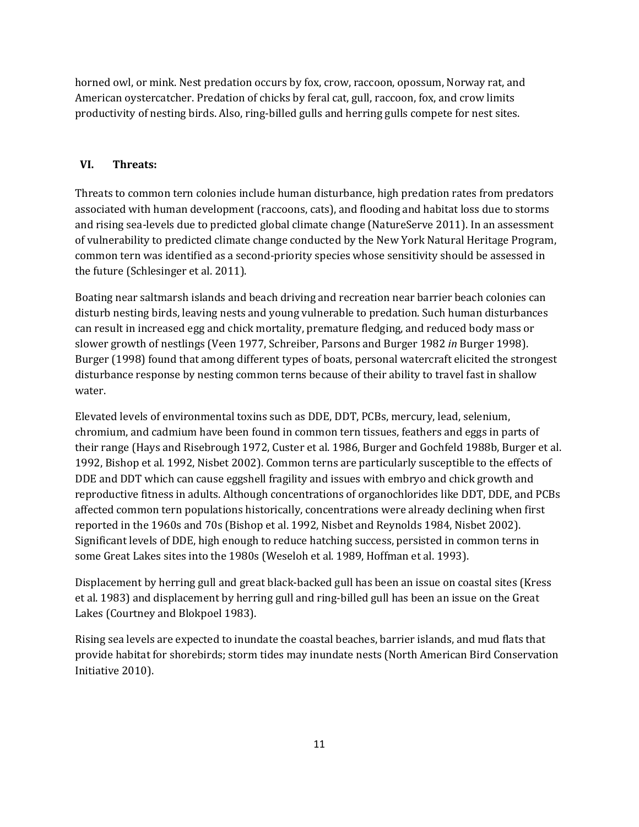horned owl, or mink. Nest predation occurs by fox, crow, raccoon, opossum, Norway rat, and American oystercatcher. Predation of chicks by feral cat, gull, raccoon, fox, and crow limits productivity of nesting birds. Also, ring-billed gulls and herring gulls compete for nest sites.

# **VI. Threats:**

Threats to common tern colonies include human disturbance, high predation rates from predators associated with human development (raccoons, cats), and flooding and habitat loss due to storms and rising sea-levels due to predicted global climate change (NatureServe 2011). In an assessment of vulnerability to predicted climate change conducted by the New York Natural Heritage Program, common tern was identified as a second-priority species whose sensitivity should be assessed in the future (Schlesinger et al. 2011).

Boating near saltmarsh islands and beach driving and recreation near barrier beach colonies can disturb nesting birds, leaving nests and young vulnerable to predation. Such human disturbances can result in increased egg and chick mortality, premature fledging, and reduced body mass or slower growth of nestlings (Veen 1977, Schreiber, Parsons and Burger 1982 *in* Burger 1998). Burger (1998) found that among different types of boats, personal watercraft elicited the strongest disturbance response by nesting common terns because of their ability to travel fast in shallow water.

Elevated levels of environmental toxins such as DDE, DDT, PCBs, mercury, lead, selenium, chromium, and cadmium have been found in common tern tissues, feathers and eggs in parts of their range (Hays and Risebrough 1972, Custer et al. 1986, Burger and Gochfeld 1988b, Burger et al. 1992, Bishop et al. 1992, Nisbet 2002). Common terns are particularly susceptible to the effects of DDE and DDT which can cause eggshell fragility and issues with embryo and chick growth and reproductive fitness in adults. Although concentrations of organochlorides like DDT, DDE, and PCBs affected common tern populations historically, concentrations were already declining when first reported in the 1960s and 70s (Bishop et al. 1992, Nisbet and Reynolds 1984, Nisbet 2002). Significant levels of DDE, high enough to reduce hatching success, persisted in common terns in some Great Lakes sites into the 1980s (Weseloh et al. 1989, Hoffman et al. 1993).

Displacement by herring gull and great black-backed gull has been an issue on coastal sites (Kress et al. 1983) and displacement by herring gull and ring-billed gull has been an issue on the Great Lakes (Courtney and Blokpoel 1983).

Rising sea levels are expected to inundate the coastal beaches, barrier islands, and mud flats that provide habitat for shorebirds; storm tides may inundate nests (North American Bird Conservation Initiative 2010).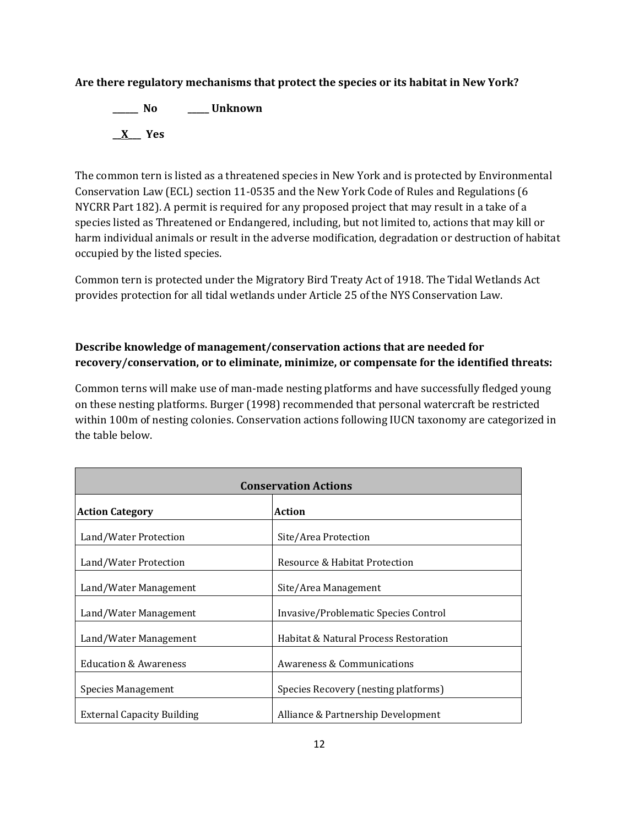# **Are there regulatory mechanisms that protect the species or its habitat in New York?**

**\_\_\_\_\_\_ No \_\_\_\_\_ Unknown \_\_X\_\_\_ Yes** 

The common tern is listed as a threatened species in New York and is protected by Environmental Conservation Law (ECL) section 11-0535 and the New York Code of Rules and Regulations (6 NYCRR Part 182). A permit is required for any proposed project that may result in a take of a species listed as Threatened or Endangered, including, but not limited to, actions that may kill or harm individual animals or result in the adverse modification, degradation or destruction of habitat occupied by the listed species.

Common tern is protected under the Migratory Bird Treaty Act of 1918. The Tidal Wetlands Act provides protection for all tidal wetlands under Article 25 of the NYS Conservation Law.

# **Describe knowledge of management/conservation actions that are needed for recovery/conservation, or to eliminate, minimize, or compensate for the identified threats:**

Common terns will make use of man-made nesting platforms and have successfully fledged young on these nesting platforms. Burger (1998) recommended that personal watercraft be restricted within 100m of nesting colonies. Conservation actions following IUCN taxonomy are categorized in the table below.

| <b>Conservation Actions</b>       |                                       |  |
|-----------------------------------|---------------------------------------|--|
| <b>Action Category</b>            | <b>Action</b>                         |  |
| Land/Water Protection             | Site/Area Protection                  |  |
| Land/Water Protection             | Resource & Habitat Protection         |  |
| Land/Water Management             | Site/Area Management                  |  |
| Land/Water Management             | Invasive/Problematic Species Control  |  |
| Land/Water Management             | Habitat & Natural Process Restoration |  |
| <b>Education &amp; Awareness</b>  | Awareness & Communications            |  |
| <b>Species Management</b>         | Species Recovery (nesting platforms)  |  |
| <b>External Capacity Building</b> | Alliance & Partnership Development    |  |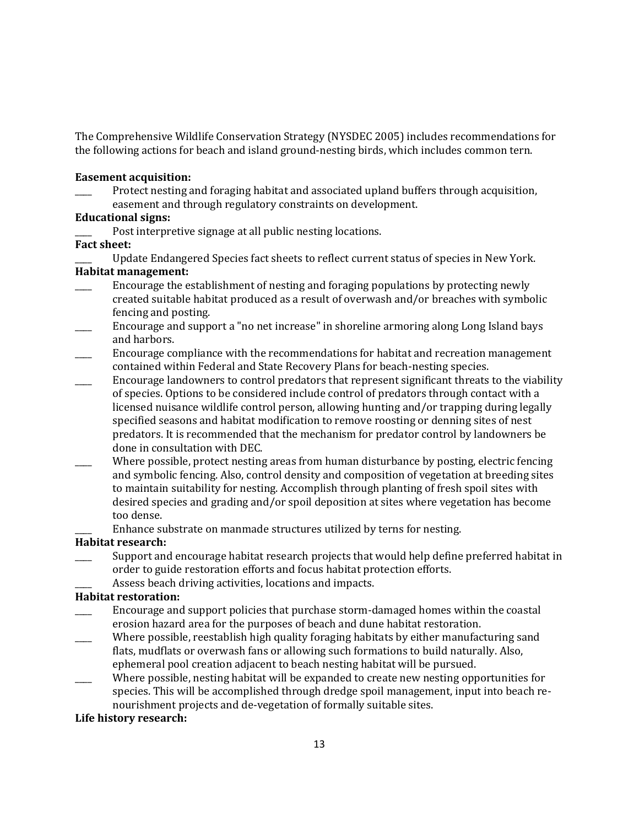The Comprehensive Wildlife Conservation Strategy (NYSDEC 2005) includes recommendations for the following actions for beach and island ground-nesting birds, which includes common tern.

#### **Easement acquisition:**

Protect nesting and foraging habitat and associated upland buffers through acquisition, easement and through regulatory constraints on development.

## **Educational signs:**

Post interpretive signage at all public nesting locations.

## **Fact sheet:**

Update Endangered Species fact sheets to reflect current status of species in New York. **Habitat management:**

- Encourage the establishment of nesting and foraging populations by protecting newly created suitable habitat produced as a result of overwash and/or breaches with symbolic fencing and posting.
- \_\_\_\_ Encourage and support a "no net increase" in shoreline armoring along Long Island bays and harbors.
- \_\_\_\_ Encourage compliance with the recommendations for habitat and recreation management contained within Federal and State Recovery Plans for beach-nesting species.
- \_\_\_\_ Encourage landowners to control predators that represent significant threats to the viability of species. Options to be considered include control of predators through contact with a licensed nuisance wildlife control person, allowing hunting and/or trapping during legally specified seasons and habitat modification to remove roosting or denning sites of nest predators. It is recommended that the mechanism for predator control by landowners be done in consultation with DEC.
- Where possible, protect nesting areas from human disturbance by posting, electric fencing and symbolic fencing. Also, control density and composition of vegetation at breeding sites to maintain suitability for nesting. Accomplish through planting of fresh spoil sites with desired species and grading and/or spoil deposition at sites where vegetation has become too dense.
	- Enhance substrate on manmade structures utilized by terns for nesting.

## **Habitat research:**

- Support and encourage habitat research projects that would help define preferred habitat in order to guide restoration efforts and focus habitat protection efforts.
- Assess beach driving activities, locations and impacts.

# **Habitat restoration:**

- \_\_\_\_ Encourage and support policies that purchase storm-damaged homes within the coastal erosion hazard area for the purposes of beach and dune habitat restoration.
- Where possible, reestablish high quality foraging habitats by either manufacturing sand flats, mudflats or overwash fans or allowing such formations to build naturally. Also, ephemeral pool creation adjacent to beach nesting habitat will be pursued.
- Where possible, nesting habitat will be expanded to create new nesting opportunities for species. This will be accomplished through dredge spoil management, input into beach renourishment projects and de-vegetation of formally suitable sites.

## **Life history research:**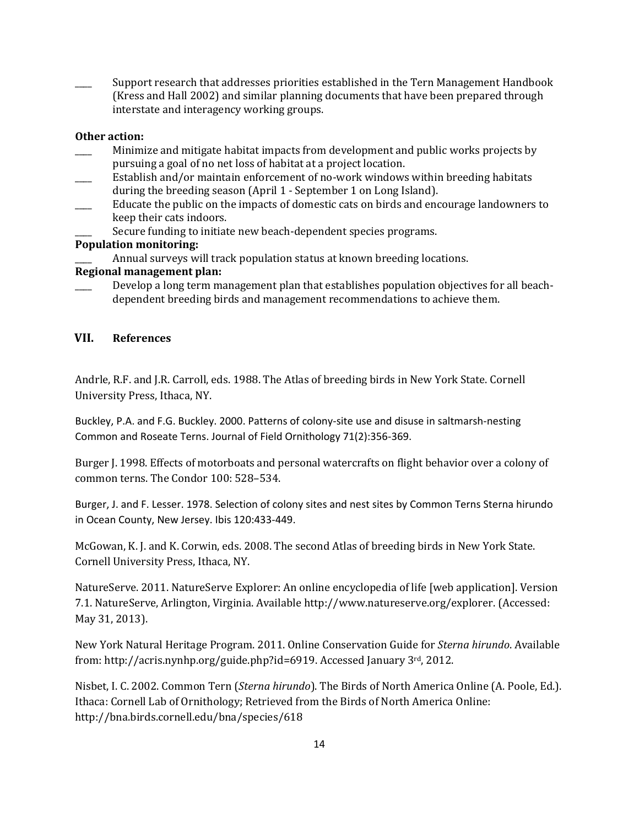\_\_\_\_ Support research that addresses priorities established in the Tern Management Handbook (Kress and Hall 2002) and similar planning documents that have been prepared through interstate and interagency working groups.

# **Other action:**

- Minimize and mitigate habitat impacts from development and public works projects by pursuing a goal of no net loss of habitat at a project location.
- Establish and/or maintain enforcement of no-work windows within breeding habitats during the breeding season (April 1 - September 1 on Long Island).
- \_\_\_\_ Educate the public on the impacts of domestic cats on birds and encourage landowners to keep their cats indoors.
	- Secure funding to initiate new beach-dependent species programs.

# **Population monitoring:**

Annual surveys will track population status at known breeding locations.

# **Regional management plan:**

Develop a long term management plan that establishes population objectives for all beachdependent breeding birds and management recommendations to achieve them.

# **VII. References**

Andrle, R.F. and J.R. Carroll, eds. 1988. The Atlas of breeding birds in New York State. Cornell University Press, Ithaca, NY.

Buckley, P.A. and F.G. Buckley. 2000. Patterns of colony-site use and disuse in saltmarsh-nesting Common and Roseate Terns. Journal of Field Ornithology 71(2):356-369.

Burger J. 1998. Effects of motorboats and personal watercrafts on flight behavior over a colony of common terns. The Condor 100: 528–534.

Burger, J. and F. Lesser. 1978. Selection of colony sites and nest sites by Common Terns Sterna hirundo in Ocean County, New Jersey. Ibis 120:433-449.

McGowan, K. J. and K. Corwin, eds. 2008. The second Atlas of breeding birds in New York State. Cornell University Press, Ithaca, NY.

NatureServe. 2011. NatureServe Explorer: An online encyclopedia of life [web application]. Version 7.1. NatureServe, Arlington, Virginia. Available http://www.natureserve.org/explorer. (Accessed: May 31, 2013).

New York Natural Heritage Program. 2011. Online Conservation Guide for *Sterna hirundo*. Available from: http://acris.nynhp.org/guide.php?id=6919. Accessed January 3rd, 2012.

Nisbet, I. C. 2002. Common Tern (*Sterna hirundo*). The Birds of North America Online (A. Poole, Ed.). Ithaca: Cornell Lab of Ornithology; Retrieved from the Birds of North America Online: <http://bna.birds.cornell.edu/bna/species/618>